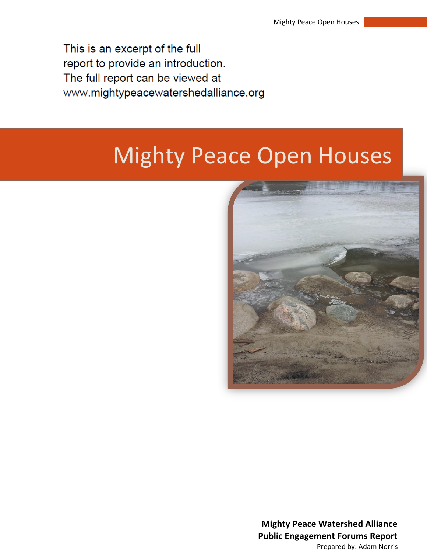This is an excerpt of the full report to provide an introduction. The full report can be viewed at www.mightypeacewatershedalliance.org

## Mighty Peace Open Houses



**Mighty Peace Watershed Alliance Public Engagement Forums Report** Prepared by: Adam Norris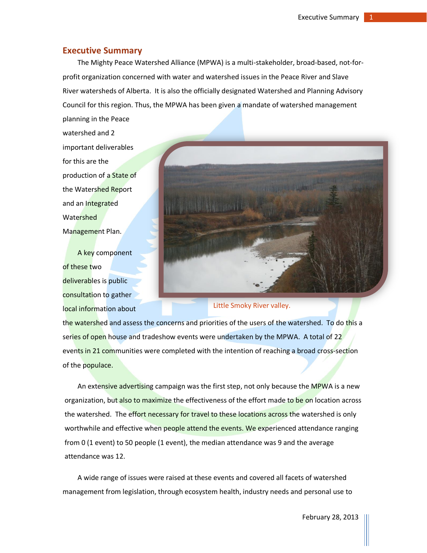## **Executive Summary**

The Mighty Peace Watershed Alliance (MPWA) is a multi-stakeholder, broad-based, not-forprofit organization concerned with water and watershed issues in the Peace River and Slave River watersheds of Alberta. It is also the officially designated Watershed and Planning Advisory Council for this region. Thus, the MPWA has been given a mandate of watershed management

planning in the Peace watershed and 2 important deliverables for this are the production of a State of the Watershed Report and an Integrated **Watershed** Management Plan.

A key component of these two deliverables is public consultation to gather local information about



Little Smoky River valley.

the watershed and assess the concerns and priorities of the users of the watershed. To do this a series of open house and tradeshow events were undertaken by the MPWA. A total of 22 events in 21 communities were completed with the intention of reaching a broad cross-section of the populace.

An extensive advertising campaign was the first step, not only because the MPWA is a new organization, but also to maximize the effectiveness of the effort made to be on location across the watershed. The effort necessary for travel to these locations across the watershed is only worthwhile and effective when people attend the events. We experienced attendance ranging from 0 (1 event) to 50 people (1 event), the median attendance was 9 and the average attendance was 12.

A wide range of issues were raised at these events and covered all facets of watershed management from legislation, through ecosystem health, industry needs and personal use to